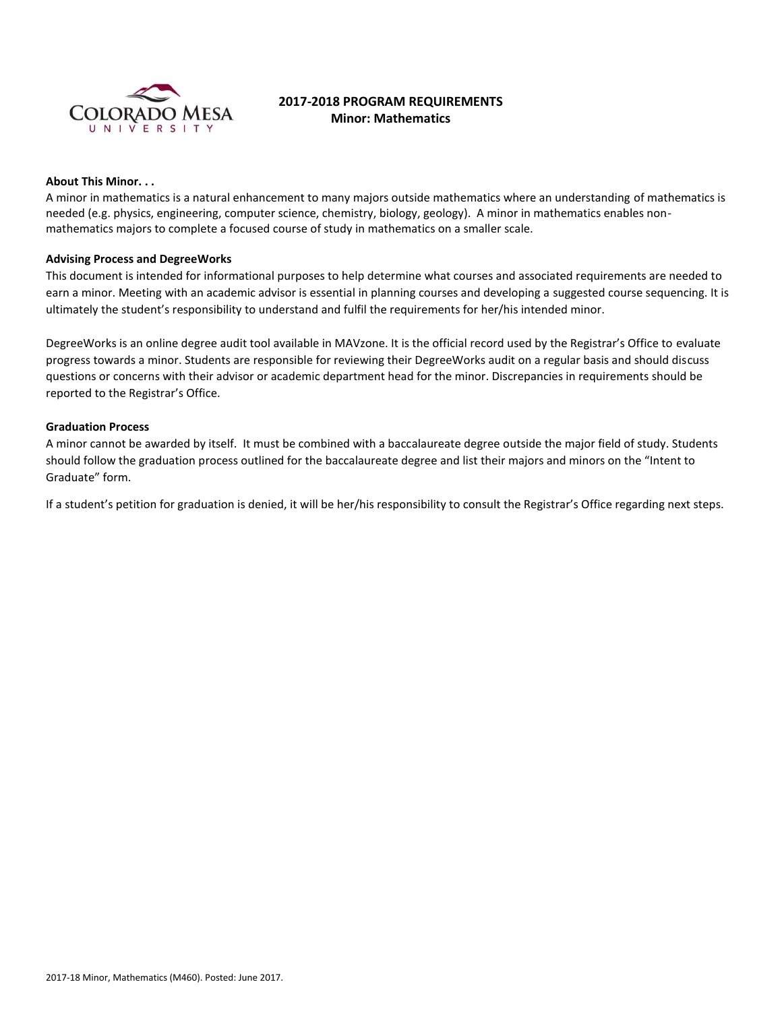

# **2017-2018 PROGRAM REQUIREMENTS Minor: Mathematics**

## **About This Minor. . .**

A minor in mathematics is a natural enhancement to many majors outside mathematics where an understanding of mathematics is needed (e.g. physics, engineering, computer science, chemistry, biology, geology). A minor in mathematics enables nonmathematics majors to complete a focused course of study in mathematics on a smaller scale.

## **Advising Process and DegreeWorks**

This document is intended for informational purposes to help determine what courses and associated requirements are needed to earn a minor. Meeting with an academic advisor is essential in planning courses and developing a suggested course sequencing. It is ultimately the student's responsibility to understand and fulfil the requirements for her/his intended minor.

DegreeWorks is an online degree audit tool available in MAVzone. It is the official record used by the Registrar's Office to evaluate progress towards a minor. Students are responsible for reviewing their DegreeWorks audit on a regular basis and should discuss questions or concerns with their advisor or academic department head for the minor. Discrepancies in requirements should be reported to the Registrar's Office.

#### **Graduation Process**

A minor cannot be awarded by itself. It must be combined with a baccalaureate degree outside the major field of study. Students should follow the graduation process outlined for the baccalaureate degree and list their majors and minors on the "Intent to Graduate" form.

If a student's petition for graduation is denied, it will be her/his responsibility to consult the Registrar's Office regarding next steps.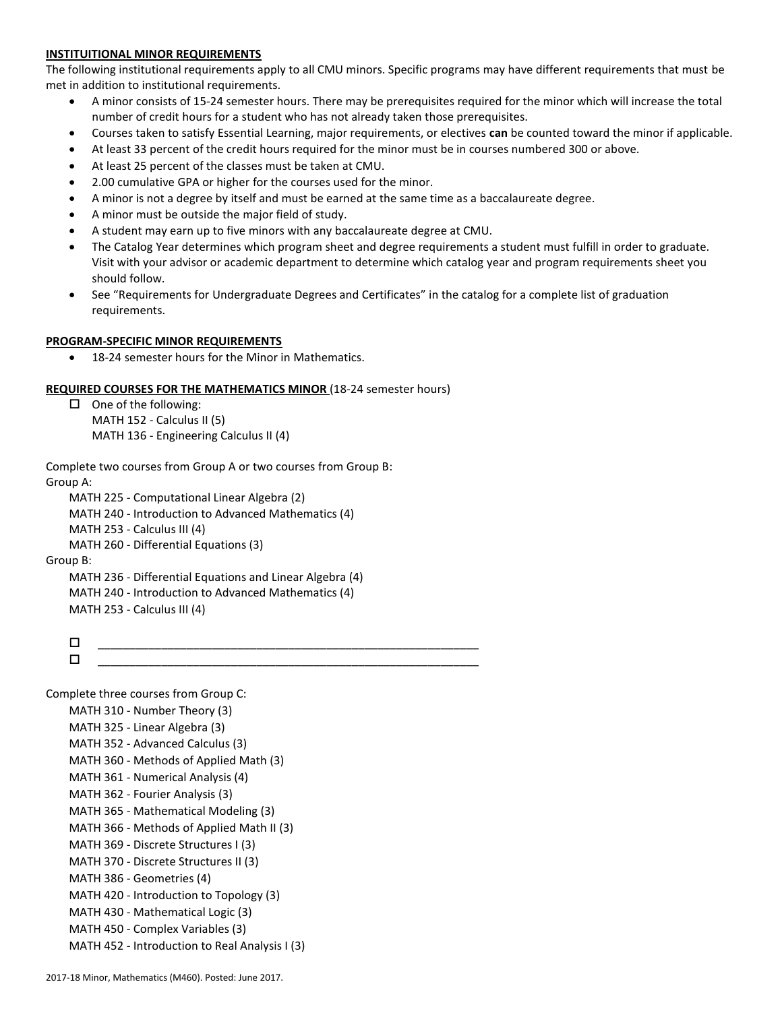# **INSTITUITIONAL MINOR REQUIREMENTS**

The following institutional requirements apply to all CMU minors. Specific programs may have different requirements that must be met in addition to institutional requirements.

- A minor consists of 15-24 semester hours. There may be prerequisites required for the minor which will increase the total number of credit hours for a student who has not already taken those prerequisites.
- Courses taken to satisfy Essential Learning, major requirements, or electives **can** be counted toward the minor if applicable.
- At least 33 percent of the credit hours required for the minor must be in courses numbered 300 or above.
- At least 25 percent of the classes must be taken at CMU.
- 2.00 cumulative GPA or higher for the courses used for the minor.
- A minor is not a degree by itself and must be earned at the same time as a baccalaureate degree.
- A minor must be outside the major field of study.
- A student may earn up to five minors with any baccalaureate degree at CMU.
- The Catalog Year determines which program sheet and degree requirements a student must fulfill in order to graduate. Visit with your advisor or academic department to determine which catalog year and program requirements sheet you should follow.
- See "Requirements for Undergraduate Degrees and Certificates" in the catalog for a complete list of graduation requirements.

## **PROGRAM-SPECIFIC MINOR REQUIREMENTS**

• 18-24 semester hours for the Minor in Mathematics.

# **REQUIRED COURSES FOR THE MATHEMATICS MINOR** (18-24 semester hours)

```
\Box One of the following:
    MATH 152 - Calculus II (5)
    MATH 136 - Engineering Calculus II (4)
```
Complete two courses from Group A or two courses from Group B: Group A:

MATH 225 - Computational Linear Algebra (2) MATH 240 - Introduction to Advanced Mathematics (4) MATH 253 - Calculus III (4) MATH 260 - Differential Equations (3) Group B: MATH 236 - Differential Equations and Linear Algebra (4) MATH 240 - Introduction to Advanced Mathematics (4) MATH 253 - Calculus III (4)

 \_\_\_\_\_\_\_\_\_\_\_\_\_\_\_\_\_\_\_\_\_\_\_\_\_\_\_\_\_\_\_\_\_\_\_\_\_\_\_\_\_\_\_\_\_\_\_\_\_\_\_\_\_\_\_\_\_\_\_\_ \_\_\_\_\_\_\_\_\_\_\_\_\_\_\_\_\_\_\_\_\_\_\_\_\_\_\_\_\_\_\_\_\_\_\_\_\_\_\_\_\_\_\_\_\_\_\_\_\_\_\_\_\_\_\_\_\_\_\_\_

Complete three courses from Group C: MATH 310 - Number Theory (3) MATH 325 - Linear Algebra (3) MATH 352 - Advanced Calculus (3) MATH 360 - Methods of Applied Math (3) MATH 361 - Numerical Analysis (4) MATH 362 - Fourier Analysis (3) MATH 365 - Mathematical Modeling (3) MATH 366 - Methods of Applied Math II (3) MATH 369 - Discrete Structures I (3) MATH 370 - Discrete Structures II (3) MATH 386 - Geometries (4) MATH 420 - Introduction to Topology (3) MATH 430 - Mathematical Logic (3) MATH 450 - Complex Variables (3) MATH 452 - Introduction to Real Analysis I (3)